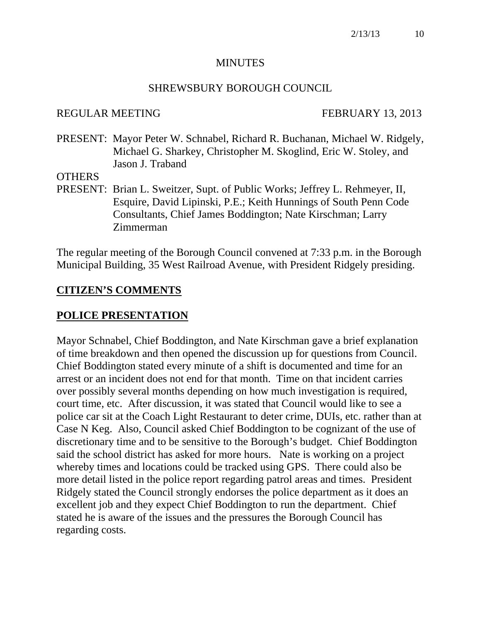#### **MINUTES**

#### SHREWSBURY BOROUGH COUNCIL

#### REGULAR MEETING FEBRUARY 13, 2013

PRESENT: Mayor Peter W. Schnabel, Richard R. Buchanan, Michael W. Ridgely, Michael G. Sharkey, Christopher M. Skoglind, Eric W. Stoley, and Jason J. Traband

#### **OTHERS**

PRESENT: Brian L. Sweitzer, Supt. of Public Works; Jeffrey L. Rehmeyer, II, Esquire, David Lipinski, P.E.; Keith Hunnings of South Penn Code Consultants, Chief James Boddington; Nate Kirschman; Larry Zimmerman

The regular meeting of the Borough Council convened at 7:33 p.m. in the Borough Municipal Building, 35 West Railroad Avenue, with President Ridgely presiding.

#### **CITIZEN'S COMMENTS**

#### **POLICE PRESENTATION**

Mayor Schnabel, Chief Boddington, and Nate Kirschman gave a brief explanation of time breakdown and then opened the discussion up for questions from Council. Chief Boddington stated every minute of a shift is documented and time for an arrest or an incident does not end for that month. Time on that incident carries over possibly several months depending on how much investigation is required, court time, etc. After discussion, it was stated that Council would like to see a police car sit at the Coach Light Restaurant to deter crime, DUIs, etc. rather than at Case N Keg. Also, Council asked Chief Boddington to be cognizant of the use of discretionary time and to be sensitive to the Borough's budget. Chief Boddington said the school district has asked for more hours. Nate is working on a project whereby times and locations could be tracked using GPS. There could also be more detail listed in the police report regarding patrol areas and times. President Ridgely stated the Council strongly endorses the police department as it does an excellent job and they expect Chief Boddington to run the department. Chief stated he is aware of the issues and the pressures the Borough Council has regarding costs.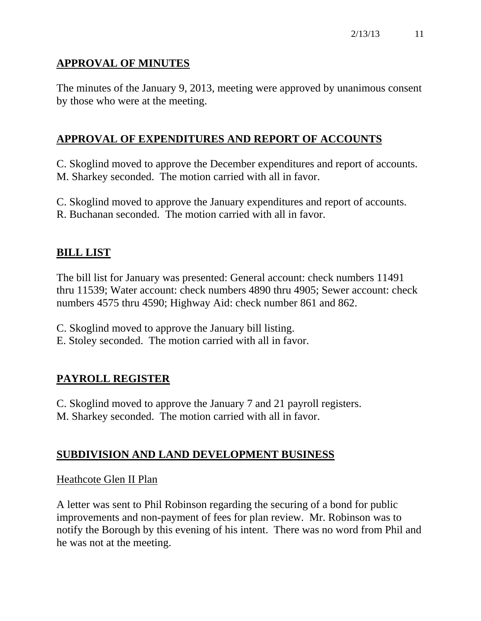# **APPROVAL OF MINUTES**

The minutes of the January 9, 2013, meeting were approved by unanimous consent by those who were at the meeting.

# **APPROVAL OF EXPENDITURES AND REPORT OF ACCOUNTS**

C. Skoglind moved to approve the December expenditures and report of accounts. M. Sharkey seconded. The motion carried with all in favor.

C. Skoglind moved to approve the January expenditures and report of accounts. R. Buchanan seconded. The motion carried with all in favor.

## **BILL LIST**

The bill list for January was presented: General account: check numbers 11491 thru 11539; Water account: check numbers 4890 thru 4905; Sewer account: check numbers 4575 thru 4590; Highway Aid: check number 861 and 862.

C. Skoglind moved to approve the January bill listing.

E. Stoley seconded. The motion carried with all in favor.

## **PAYROLL REGISTER**

C. Skoglind moved to approve the January 7 and 21 payroll registers. M. Sharkey seconded. The motion carried with all in favor.

## **SUBDIVISION AND LAND DEVELOPMENT BUSINESS**

#### Heathcote Glen II Plan

A letter was sent to Phil Robinson regarding the securing of a bond for public improvements and non-payment of fees for plan review. Mr. Robinson was to notify the Borough by this evening of his intent. There was no word from Phil and he was not at the meeting.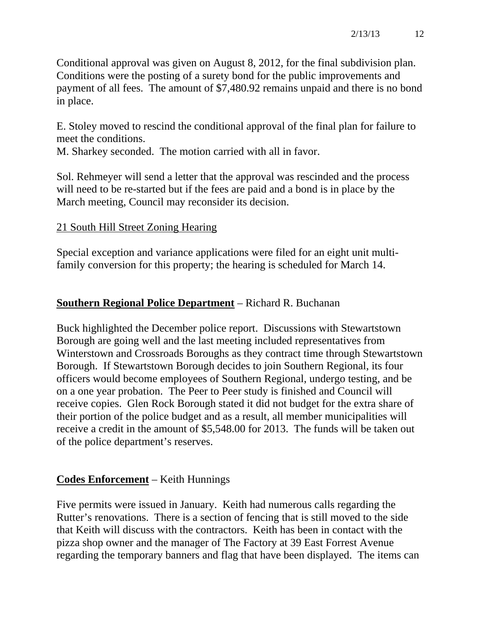Conditional approval was given on August 8, 2012, for the final subdivision plan. Conditions were the posting of a surety bond for the public improvements and payment of all fees. The amount of \$7,480.92 remains unpaid and there is no bond in place.

E. Stoley moved to rescind the conditional approval of the final plan for failure to meet the conditions.

M. Sharkey seconded. The motion carried with all in favor.

Sol. Rehmeyer will send a letter that the approval was rescinded and the process will need to be re-started but if the fees are paid and a bond is in place by the March meeting, Council may reconsider its decision.

## 21 South Hill Street Zoning Hearing

Special exception and variance applications were filed for an eight unit multifamily conversion for this property; the hearing is scheduled for March 14.

## **Southern Regional Police Department** – Richard R. Buchanan

Buck highlighted the December police report. Discussions with Stewartstown Borough are going well and the last meeting included representatives from Winterstown and Crossroads Boroughs as they contract time through Stewartstown Borough. If Stewartstown Borough decides to join Southern Regional, its four officers would become employees of Southern Regional, undergo testing, and be on a one year probation. The Peer to Peer study is finished and Council will receive copies. Glen Rock Borough stated it did not budget for the extra share of their portion of the police budget and as a result, all member municipalities will receive a credit in the amount of \$5,548.00 for 2013. The funds will be taken out of the police department's reserves.

## **Codes Enforcement** – Keith Hunnings

Five permits were issued in January. Keith had numerous calls regarding the Rutter's renovations. There is a section of fencing that is still moved to the side that Keith will discuss with the contractors. Keith has been in contact with the pizza shop owner and the manager of The Factory at 39 East Forrest Avenue regarding the temporary banners and flag that have been displayed. The items can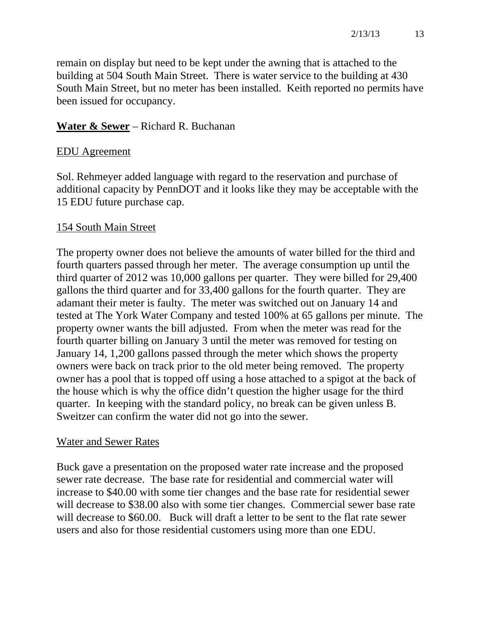remain on display but need to be kept under the awning that is attached to the building at 504 South Main Street. There is water service to the building at 430 South Main Street, but no meter has been installed. Keith reported no permits have been issued for occupancy.

## **Water & Sewer** – Richard R. Buchanan

#### EDU Agreement

Sol. Rehmeyer added language with regard to the reservation and purchase of additional capacity by PennDOT and it looks like they may be acceptable with the 15 EDU future purchase cap.

#### 154 South Main Street

The property owner does not believe the amounts of water billed for the third and fourth quarters passed through her meter. The average consumption up until the third quarter of 2012 was 10,000 gallons per quarter. They were billed for 29,400 gallons the third quarter and for 33,400 gallons for the fourth quarter. They are adamant their meter is faulty. The meter was switched out on January 14 and tested at The York Water Company and tested 100% at 65 gallons per minute. The property owner wants the bill adjusted. From when the meter was read for the fourth quarter billing on January 3 until the meter was removed for testing on January 14, 1,200 gallons passed through the meter which shows the property owners were back on track prior to the old meter being removed. The property owner has a pool that is topped off using a hose attached to a spigot at the back of the house which is why the office didn't question the higher usage for the third quarter. In keeping with the standard policy, no break can be given unless B. Sweitzer can confirm the water did not go into the sewer.

#### Water and Sewer Rates

Buck gave a presentation on the proposed water rate increase and the proposed sewer rate decrease. The base rate for residential and commercial water will increase to \$40.00 with some tier changes and the base rate for residential sewer will decrease to \$38.00 also with some tier changes. Commercial sewer base rate will decrease to \$60.00. Buck will draft a letter to be sent to the flat rate sewer users and also for those residential customers using more than one EDU.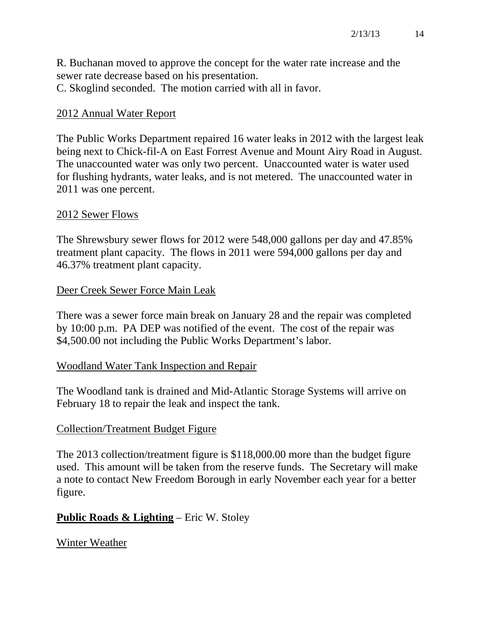R. Buchanan moved to approve the concept for the water rate increase and the sewer rate decrease based on his presentation.

C. Skoglind seconded. The motion carried with all in favor.

# 2012 Annual Water Report

The Public Works Department repaired 16 water leaks in 2012 with the largest leak being next to Chick-fil-A on East Forrest Avenue and Mount Airy Road in August. The unaccounted water was only two percent. Unaccounted water is water used for flushing hydrants, water leaks, and is not metered. The unaccounted water in 2011 was one percent.

## 2012 Sewer Flows

The Shrewsbury sewer flows for 2012 were 548,000 gallons per day and 47.85% treatment plant capacity. The flows in 2011 were 594,000 gallons per day and 46.37% treatment plant capacity.

# Deer Creek Sewer Force Main Leak

There was a sewer force main break on January 28 and the repair was completed by 10:00 p.m. PA DEP was notified of the event. The cost of the repair was \$4,500.00 not including the Public Works Department's labor.

## Woodland Water Tank Inspection and Repair

The Woodland tank is drained and Mid-Atlantic Storage Systems will arrive on February 18 to repair the leak and inspect the tank.

## Collection/Treatment Budget Figure

The 2013 collection/treatment figure is \$118,000.00 more than the budget figure used. This amount will be taken from the reserve funds. The Secretary will make a note to contact New Freedom Borough in early November each year for a better figure.

# **Public Roads & Lighting** – Eric W. Stoley

Winter Weather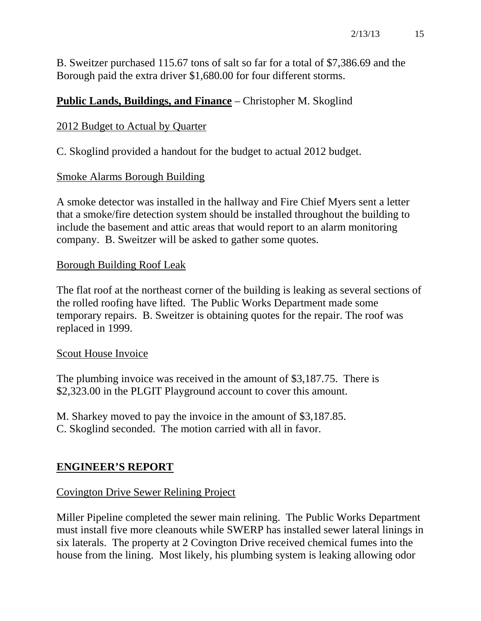B. Sweitzer purchased 115.67 tons of salt so far for a total of \$7,386.69 and the Borough paid the extra driver \$1,680.00 for four different storms.

## **Public Lands, Buildings, and Finance** – Christopher M. Skoglind

## 2012 Budget to Actual by Quarter

C. Skoglind provided a handout for the budget to actual 2012 budget.

## Smoke Alarms Borough Building

A smoke detector was installed in the hallway and Fire Chief Myers sent a letter that a smoke/fire detection system should be installed throughout the building to include the basement and attic areas that would report to an alarm monitoring company. B. Sweitzer will be asked to gather some quotes.

#### Borough Building Roof Leak

The flat roof at the northeast corner of the building is leaking as several sections of the rolled roofing have lifted. The Public Works Department made some temporary repairs. B. Sweitzer is obtaining quotes for the repair. The roof was replaced in 1999.

#### Scout House Invoice

The plumbing invoice was received in the amount of \$3,187.75. There is \$2,323.00 in the PLGIT Playground account to cover this amount.

M. Sharkey moved to pay the invoice in the amount of \$3,187.85. C. Skoglind seconded. The motion carried with all in favor.

## **ENGINEER'S REPORT**

## Covington Drive Sewer Relining Project

Miller Pipeline completed the sewer main relining. The Public Works Department must install five more cleanouts while SWERP has installed sewer lateral linings in six laterals. The property at 2 Covington Drive received chemical fumes into the house from the lining. Most likely, his plumbing system is leaking allowing odor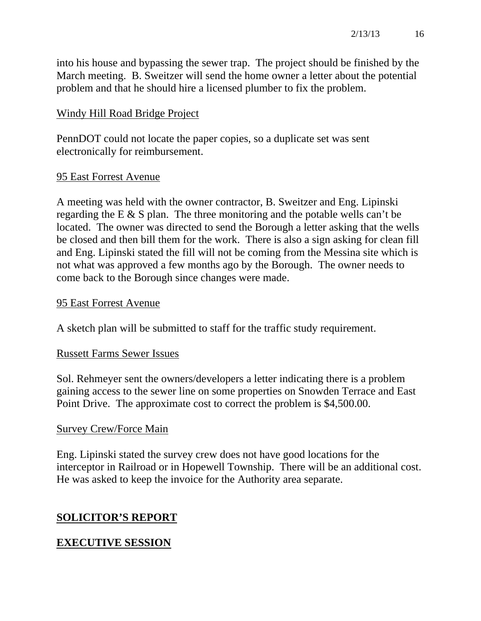into his house and bypassing the sewer trap. The project should be finished by the March meeting. B. Sweitzer will send the home owner a letter about the potential problem and that he should hire a licensed plumber to fix the problem.

#### Windy Hill Road Bridge Project

PennDOT could not locate the paper copies, so a duplicate set was sent electronically for reimbursement.

## 95 East Forrest Avenue

A meeting was held with the owner contractor, B. Sweitzer and Eng. Lipinski regarding the E & S plan. The three monitoring and the potable wells can't be located. The owner was directed to send the Borough a letter asking that the wells be closed and then bill them for the work. There is also a sign asking for clean fill and Eng. Lipinski stated the fill will not be coming from the Messina site which is not what was approved a few months ago by the Borough. The owner needs to come back to the Borough since changes were made.

#### 95 East Forrest Avenue

A sketch plan will be submitted to staff for the traffic study requirement.

#### Russett Farms Sewer Issues

Sol. Rehmeyer sent the owners/developers a letter indicating there is a problem gaining access to the sewer line on some properties on Snowden Terrace and East Point Drive. The approximate cost to correct the problem is \$4,500.00.

## Survey Crew/Force Main

Eng. Lipinski stated the survey crew does not have good locations for the interceptor in Railroad or in Hopewell Township. There will be an additional cost. He was asked to keep the invoice for the Authority area separate.

## **SOLICITOR'S REPORT**

## **EXECUTIVE SESSION**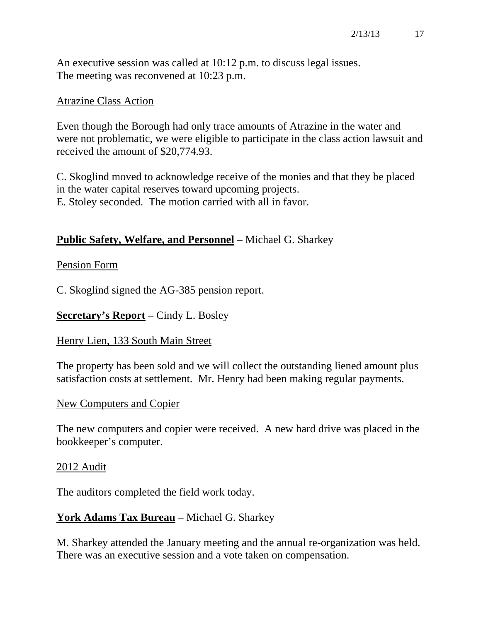An executive session was called at 10:12 p.m. to discuss legal issues. The meeting was reconvened at 10:23 p.m.

#### Atrazine Class Action

Even though the Borough had only trace amounts of Atrazine in the water and were not problematic, we were eligible to participate in the class action lawsuit and received the amount of \$20,774.93.

C. Skoglind moved to acknowledge receive of the monies and that they be placed in the water capital reserves toward upcoming projects. E. Stoley seconded. The motion carried with all in favor.

## **Public Safety, Welfare, and Personnel** – Michael G. Sharkey

## Pension Form

C. Skoglind signed the AG-385 pension report.

**Secretary's Report** – Cindy L. Bosley

#### Henry Lien, 133 South Main Street

The property has been sold and we will collect the outstanding liened amount plus satisfaction costs at settlement. Mr. Henry had been making regular payments.

#### New Computers and Copier

The new computers and copier were received. A new hard drive was placed in the bookkeeper's computer.

#### 2012 Audit

The auditors completed the field work today.

## **York Adams Tax Bureau** – Michael G. Sharkey

M. Sharkey attended the January meeting and the annual re-organization was held. There was an executive session and a vote taken on compensation.